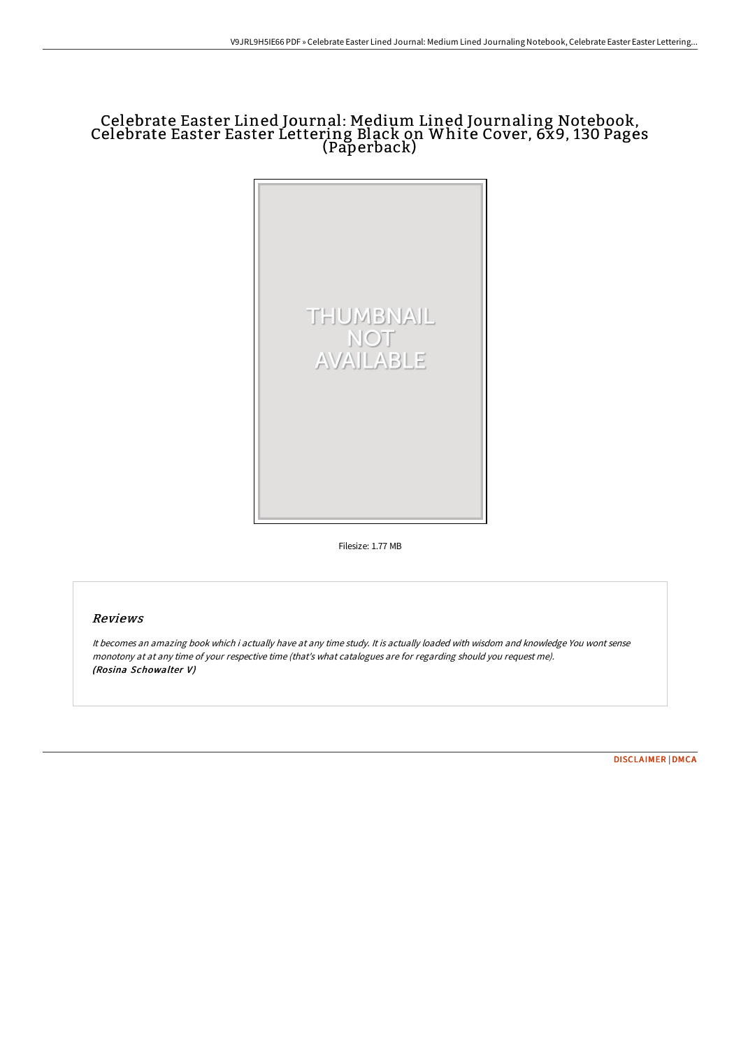## Celebrate Easter Lined Journal: Medium Lined Journaling Notebook, Celebrate Easter Easter Lettering Black on White Cover, 6x9, 130 Pages (Paperback)



Filesize: 1.77 MB

## Reviews

It becomes an amazing book which i actually have at any time study. It is actually loaded with wisdom and knowledge You wont sense monotony at at any time of your respective time (that's what catalogues are for regarding should you request me). (Rosina Schowalter V)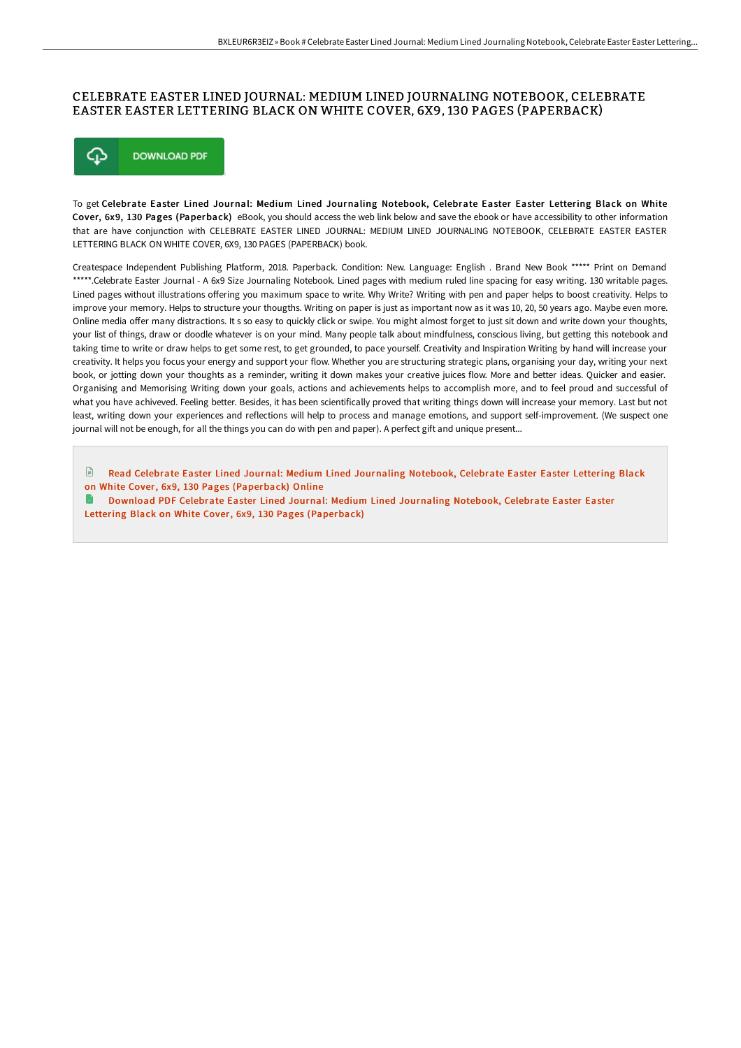## CELEBRATE EASTER LINED JOURNAL: MEDIUM LINED JOURNALING NOTEBOOK, CELEBRATE EASTER EASTER LETTERING BLACK ON WHITE COVER, 6X9, 130 PAGES (PAPERBACK)



To get Celebrate Easter Lined Journal: Medium Lined Journaling Notebook, Celebrate Easter Easter Lettering Black on White Cover, 6x9, 130 Pages (Paperback) eBook, you should access the web link below and save the ebook or have accessibility to other information that are have conjunction with CELEBRATE EASTER LINED JOURNAL: MEDIUM LINED JOURNALING NOTEBOOK, CELEBRATE EASTER EASTER LETTERING BLACK ON WHITE COVER, 6X9, 130 PAGES (PAPERBACK) book.

Createspace Independent Publishing Platform, 2018. Paperback. Condition: New. Language: English . Brand New Book \*\*\*\*\* Print on Demand \*\*\*\*\*.Celebrate Easter Journal - A 6x9 Size Journaling Notebook. Lined pages with medium ruled line spacing for easy writing. 130 writable pages. Lined pages without illustrations offering you maximum space to write. Why Write? Writing with pen and paper helps to boost creativity. Helps to improve your memory. Helps to structure your thougths. Writing on paper is just as important now as it was 10, 20, 50 years ago. Maybe even more. Online media offer many distractions. It s so easy to quickly click or swipe. You might almost forget to just sit down and write down your thoughts, your list of things, draw or doodle whatever is on your mind. Many people talk about mindfulness, conscious living, but getting this notebook and taking time to write or draw helps to get some rest, to get grounded, to pace yourself. Creativity and Inspiration Writing by hand will increase your creativity. It helps you focus your energy and support your flow. Whether you are structuring strategic plans, organising your day, writing your next book, or jotting down your thoughts as a reminder, writing it down makes your creative juices flow. More and better ideas. Quicker and easier. Organising and Memorising Writing down your goals, actions and achievements helps to accomplish more, and to feel proud and successful of what you have achiveved. Feeling better. Besides, it has been scientifically proved that writing things down will increase your memory. Last but not least, writing down your experiences and reflections will help to process and manage emotions, and support self-improvement. (We suspect one journal will not be enough, for all the things you can do with pen and paper). A perfect gift and unique present...

 $\mathbb{R}$ Read Celebrate Easter Lined Journal: Medium Lined Journaling Notebook, Celebrate Easter Easter Lettering Black on White Cover, 6x9, 130 Pages [\(Paperback\)](http://techno-pub.tech/celebrate-easter-lined-journal-medium-lined-jour.html) Online

Download PDF Celebrate Easter Lined Journal: Medium Lined Journaling Notebook, Celebrate Easter Easter Lettering Black on White Cover, 6x9, 130 Pages [\(Paperback\)](http://techno-pub.tech/celebrate-easter-lined-journal-medium-lined-jour.html)